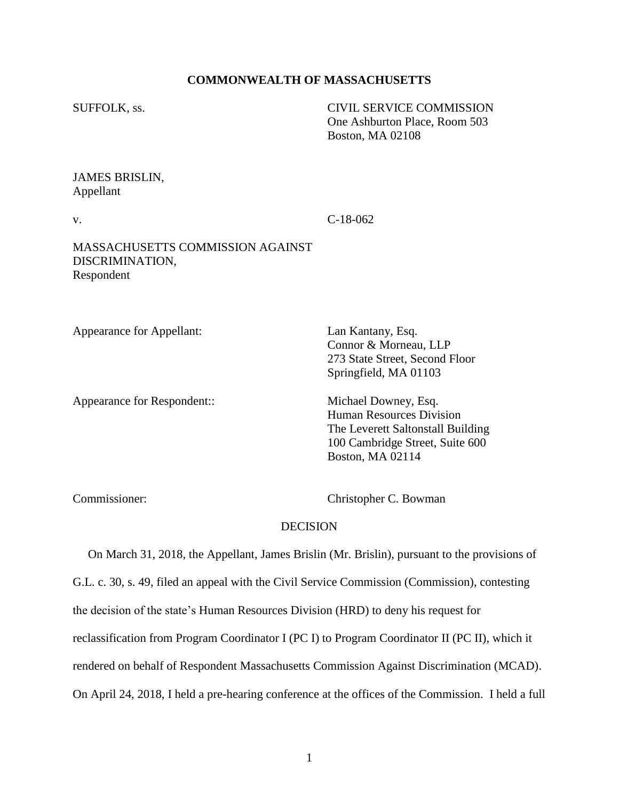### **COMMONWEALTH OF MASSACHUSETTS**

SUFFOLK, ss. CIVIL SERVICE COMMISSION One Ashburton Place, Room 503 Boston, MA 02108

## JAMES BRISLIN, Appellant

v. C-18-062

### MASSACHUSETTS COMMISSION AGAINST DISCRIMINATION, Respondent

Appearance for Appellant: Lan Kantany, Esq.

Appearance for Respondent:: Michael Downey, Esq.

Connor & Morneau, LLP 273 State Street, Second Floor Springfield, MA 01103

Human Resources Division The Leverett Saltonstall Building 100 Cambridge Street, Suite 600 Boston, MA 02114

Commissioner: Christopher C. Bowman

### **DECISION**

 On March 31, 2018, the Appellant, James Brislin (Mr. Brislin), pursuant to the provisions of G.L. c. 30, s. 49, filed an appeal with the Civil Service Commission (Commission), contesting the decision of the state's Human Resources Division (HRD) to deny his request for reclassification from Program Coordinator I (PC I) to Program Coordinator II (PC II), which it rendered on behalf of Respondent Massachusetts Commission Against Discrimination (MCAD). On April 24, 2018, I held a pre-hearing conference at the offices of the Commission. I held a full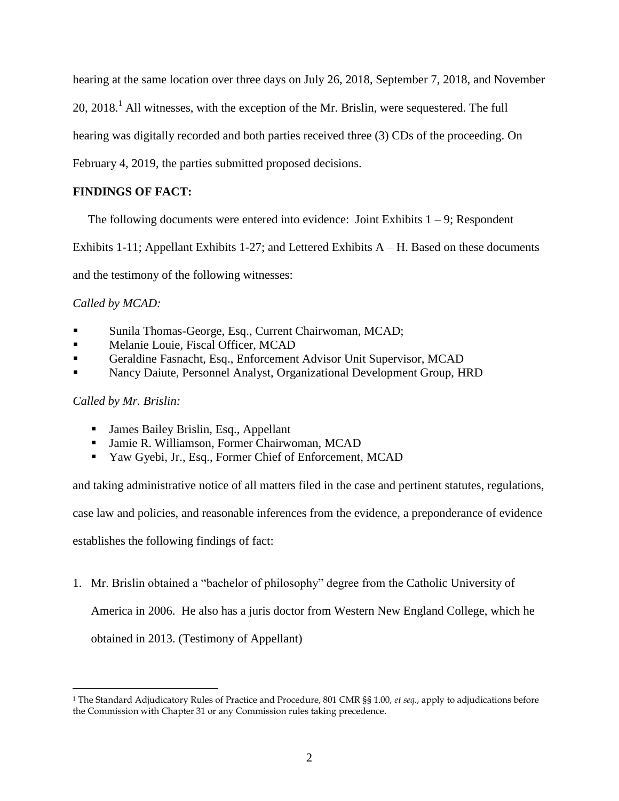hearing at the same location over three days on July 26, 2018, September 7, 2018, and November

20, 2018.<sup>1</sup> All witnesses, with the exception of the Mr. Brislin, were sequestered. The full

hearing was digitally recorded and both parties received three (3) CDs of the proceeding. On

February 4, 2019, the parties submitted proposed decisions.

# **FINDINGS OF FACT:**

The following documents were entered into evidence: Joint Exhibits  $1 - 9$ ; Respondent

Exhibits  $1-11$ ; Appellant Exhibits  $1-27$ ; and Lettered Exhibits  $A - H$ . Based on these documents

and the testimony of the following witnesses:

*Called by MCAD:*

- Sunila Thomas-George, Esq., Current Chairwoman, MCAD;
- Melanie Louie, Fiscal Officer, MCAD
- Geraldine Fasnacht, Esq., Enforcement Advisor Unit Supervisor, MCAD
- Nancy Daiute, Personnel Analyst, Organizational Development Group, HRD

## *Called by Mr. Brislin:*

 $\overline{a}$ 

- James Bailey Brislin, Esq., Appellant
- Jamie R. Williamson, Former Chairwoman, MCAD
- Yaw Gyebi, Jr., Esq., Former Chief of Enforcement, MCAD

and taking administrative notice of all matters filed in the case and pertinent statutes, regulations,

case law and policies, and reasonable inferences from the evidence, a preponderance of evidence

establishes the following findings of fact:

1. Mr. Brislin obtained a "bachelor of philosophy" degree from the Catholic University of America in 2006. He also has a juris doctor from Western New England College, which he obtained in 2013. (Testimony of Appellant)

<sup>1</sup> The Standard Adjudicatory Rules of Practice and Procedure, 801 CMR §§ 1.00, *et seq.*, apply to adjudications before the Commission with Chapter 31 or any Commission rules taking precedence.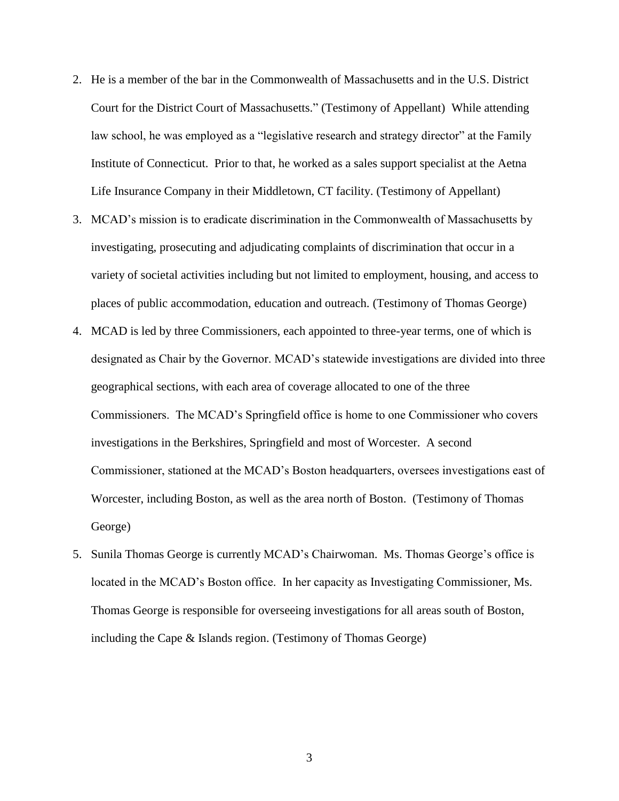- 2. He is a member of the bar in the Commonwealth of Massachusetts and in the U.S. District Court for the District Court of Massachusetts." (Testimony of Appellant) While attending law school, he was employed as a "legislative research and strategy director" at the Family Institute of Connecticut. Prior to that, he worked as a sales support specialist at the Aetna Life Insurance Company in their Middletown, CT facility. (Testimony of Appellant)
- 3. MCAD's mission is to eradicate discrimination in the Commonwealth of Massachusetts by investigating, prosecuting and adjudicating complaints of discrimination that occur in a variety of societal activities including but not limited to employment, housing, and access to places of public accommodation, education and outreach. (Testimony of Thomas George)
- 4. MCAD is led by three Commissioners, each appointed to three-year terms, one of which is designated as Chair by the Governor. MCAD's statewide investigations are divided into three geographical sections, with each area of coverage allocated to one of the three Commissioners. The MCAD's Springfield office is home to one Commissioner who covers investigations in the Berkshires, Springfield and most of Worcester. A second Commissioner, stationed at the MCAD's Boston headquarters, oversees investigations east of Worcester, including Boston, as well as the area north of Boston. (Testimony of Thomas George)
- 5. Sunila Thomas George is currently MCAD's Chairwoman. Ms. Thomas George's office is located in the MCAD's Boston office. In her capacity as Investigating Commissioner, Ms. Thomas George is responsible for overseeing investigations for all areas south of Boston, including the Cape & Islands region. (Testimony of Thomas George)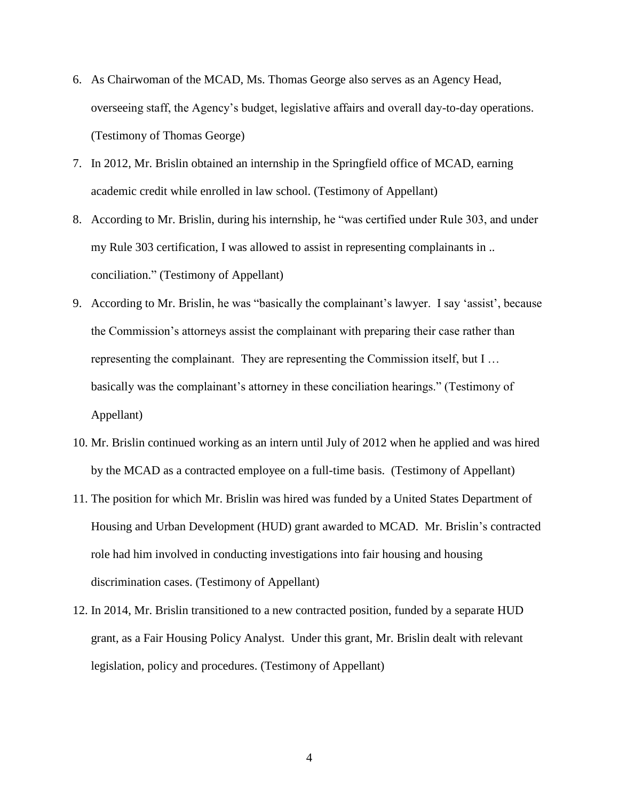- 6. As Chairwoman of the MCAD, Ms. Thomas George also serves as an Agency Head, overseeing staff, the Agency's budget, legislative affairs and overall day-to-day operations. (Testimony of Thomas George)
- 7. In 2012, Mr. Brislin obtained an internship in the Springfield office of MCAD, earning academic credit while enrolled in law school. (Testimony of Appellant)
- 8. According to Mr. Brislin, during his internship, he "was certified under Rule 303, and under my Rule 303 certification, I was allowed to assist in representing complainants in .. conciliation." (Testimony of Appellant)
- 9. According to Mr. Brislin, he was "basically the complainant's lawyer. I say 'assist', because the Commission's attorneys assist the complainant with preparing their case rather than representing the complainant. They are representing the Commission itself, but I … basically was the complainant's attorney in these conciliation hearings." (Testimony of Appellant)
- 10. Mr. Brislin continued working as an intern until July of 2012 when he applied and was hired by the MCAD as a contracted employee on a full-time basis. (Testimony of Appellant)
- 11. The position for which Mr. Brislin was hired was funded by a United States Department of Housing and Urban Development (HUD) grant awarded to MCAD. Mr. Brislin's contracted role had him involved in conducting investigations into fair housing and housing discrimination cases. (Testimony of Appellant)
- 12. In 2014, Mr. Brislin transitioned to a new contracted position, funded by a separate HUD grant, as a Fair Housing Policy Analyst. Under this grant, Mr. Brislin dealt with relevant legislation, policy and procedures. (Testimony of Appellant)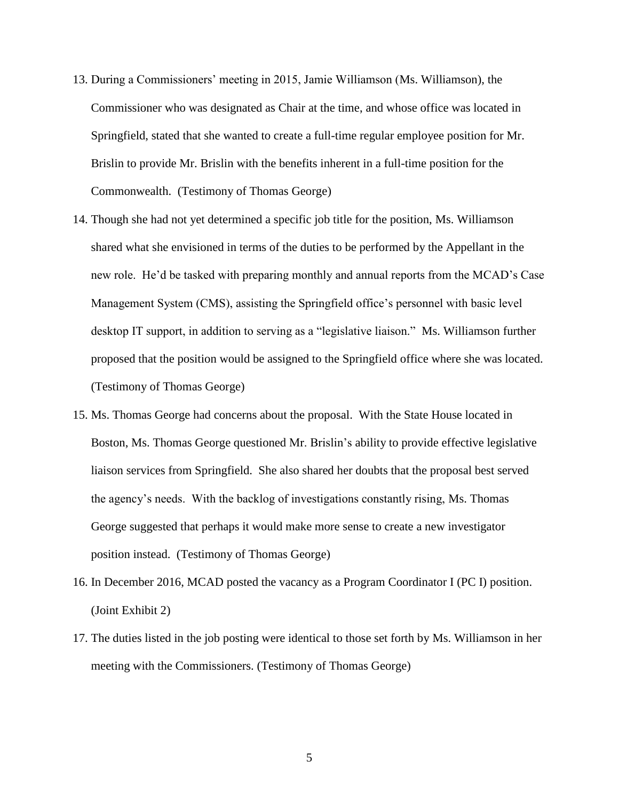- 13. During a Commissioners' meeting in 2015, Jamie Williamson (Ms. Williamson), the Commissioner who was designated as Chair at the time, and whose office was located in Springfield, stated that she wanted to create a full-time regular employee position for Mr. Brislin to provide Mr. Brislin with the benefits inherent in a full-time position for the Commonwealth. (Testimony of Thomas George)
- 14. Though she had not yet determined a specific job title for the position, Ms. Williamson shared what she envisioned in terms of the duties to be performed by the Appellant in the new role. He'd be tasked with preparing monthly and annual reports from the MCAD's Case Management System (CMS), assisting the Springfield office's personnel with basic level desktop IT support, in addition to serving as a "legislative liaison." Ms. Williamson further proposed that the position would be assigned to the Springfield office where she was located. (Testimony of Thomas George)
- 15. Ms. Thomas George had concerns about the proposal. With the State House located in Boston, Ms. Thomas George questioned Mr. Brislin's ability to provide effective legislative liaison services from Springfield. She also shared her doubts that the proposal best served the agency's needs. With the backlog of investigations constantly rising, Ms. Thomas George suggested that perhaps it would make more sense to create a new investigator position instead. (Testimony of Thomas George)
- 16. In December 2016, MCAD posted the vacancy as a Program Coordinator I (PC I) position. (Joint Exhibit 2)
- 17. The duties listed in the job posting were identical to those set forth by Ms. Williamson in her meeting with the Commissioners. (Testimony of Thomas George)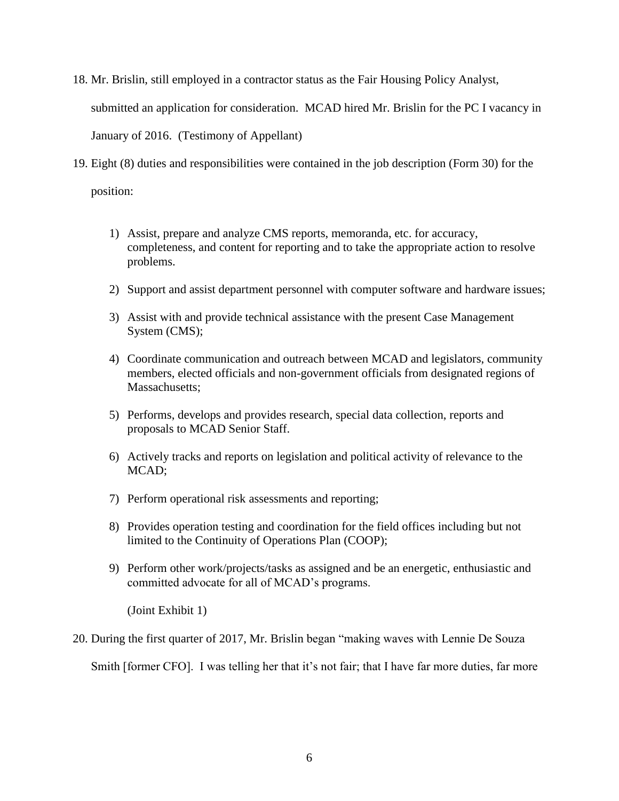- 18. Mr. Brislin, still employed in a contractor status as the Fair Housing Policy Analyst, submitted an application for consideration. MCAD hired Mr. Brislin for the PC I vacancy in January of 2016. (Testimony of Appellant)
- 19. Eight (8) duties and responsibilities were contained in the job description (Form 30) for the position:
	- 1) Assist, prepare and analyze CMS reports, memoranda, etc. for accuracy, completeness, and content for reporting and to take the appropriate action to resolve problems.
	- 2) Support and assist department personnel with computer software and hardware issues;
	- 3) Assist with and provide technical assistance with the present Case Management System (CMS);
	- 4) Coordinate communication and outreach between MCAD and legislators, community members, elected officials and non-government officials from designated regions of Massachusetts:
	- 5) Performs, develops and provides research, special data collection, reports and proposals to MCAD Senior Staff.
	- 6) Actively tracks and reports on legislation and political activity of relevance to the MCAD;
	- 7) Perform operational risk assessments and reporting;
	- 8) Provides operation testing and coordination for the field offices including but not limited to the Continuity of Operations Plan (COOP);
	- 9) Perform other work/projects/tasks as assigned and be an energetic, enthusiastic and committed advocate for all of MCAD's programs.

(Joint Exhibit 1)

20. During the first quarter of 2017, Mr. Brislin began "making waves with Lennie De Souza

Smith [former CFO]. I was telling her that it's not fair; that I have far more duties, far more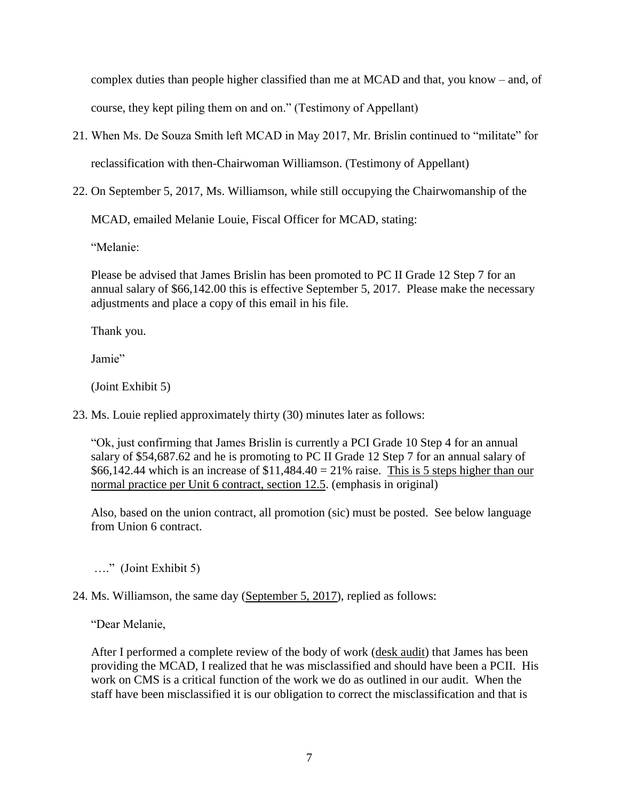complex duties than people higher classified than me at MCAD and that, you know – and, of course, they kept piling them on and on." (Testimony of Appellant)

21. When Ms. De Souza Smith left MCAD in May 2017, Mr. Brislin continued to "militate" for

reclassification with then-Chairwoman Williamson. (Testimony of Appellant)

22. On September 5, 2017, Ms. Williamson, while still occupying the Chairwomanship of the

MCAD, emailed Melanie Louie, Fiscal Officer for MCAD, stating:

"Melanie:

Please be advised that James Brislin has been promoted to PC II Grade 12 Step 7 for an annual salary of \$66,142.00 this is effective September 5, 2017. Please make the necessary adjustments and place a copy of this email in his file.

Thank you.

Jamie"

(Joint Exhibit 5)

23. Ms. Louie replied approximately thirty (30) minutes later as follows:

"Ok, just confirming that James Brislin is currently a PCI Grade 10 Step 4 for an annual salary of \$54,687.62 and he is promoting to PC II Grade 12 Step 7 for an annual salary of \$66,142.44 which is an increase of  $$11,484.40 = 21\%$  raise. This is 5 steps higher than our normal practice per Unit 6 contract, section 12.5. (emphasis in original)

 Also, based on the union contract, all promotion (sic) must be posted. See below language from Union 6 contract.

…." (Joint Exhibit 5)

# 24. Ms. Williamson, the same day (September 5, 2017), replied as follows:

"Dear Melanie,

After I performed a complete review of the body of work (desk audit) that James has been providing the MCAD, I realized that he was misclassified and should have been a PCII. His work on CMS is a critical function of the work we do as outlined in our audit. When the staff have been misclassified it is our obligation to correct the misclassification and that is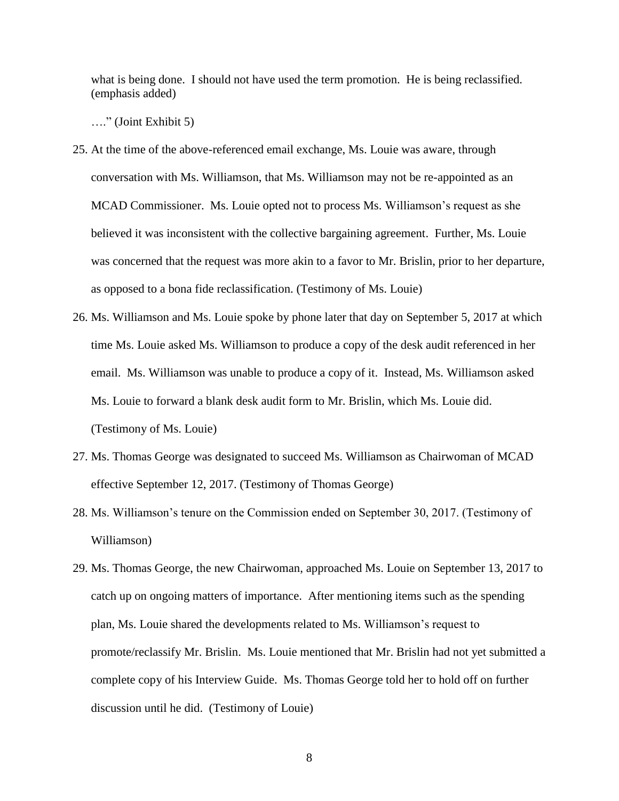what is being done. I should not have used the term promotion. He is being reclassified. (emphasis added)

…." (Joint Exhibit 5)

- 25. At the time of the above-referenced email exchange, Ms. Louie was aware, through conversation with Ms. Williamson, that Ms. Williamson may not be re-appointed as an MCAD Commissioner. Ms. Louie opted not to process Ms. Williamson's request as she believed it was inconsistent with the collective bargaining agreement. Further, Ms. Louie was concerned that the request was more akin to a favor to Mr. Brislin, prior to her departure, as opposed to a bona fide reclassification. (Testimony of Ms. Louie)
- 26. Ms. Williamson and Ms. Louie spoke by phone later that day on September 5, 2017 at which time Ms. Louie asked Ms. Williamson to produce a copy of the desk audit referenced in her email. Ms. Williamson was unable to produce a copy of it. Instead, Ms. Williamson asked Ms. Louie to forward a blank desk audit form to Mr. Brislin, which Ms. Louie did. (Testimony of Ms. Louie)
- 27. Ms. Thomas George was designated to succeed Ms. Williamson as Chairwoman of MCAD effective September 12, 2017. (Testimony of Thomas George)
- 28. Ms. Williamson's tenure on the Commission ended on September 30, 2017. (Testimony of Williamson)
- 29. Ms. Thomas George, the new Chairwoman, approached Ms. Louie on September 13, 2017 to catch up on ongoing matters of importance. After mentioning items such as the spending plan, Ms. Louie shared the developments related to Ms. Williamson's request to promote/reclassify Mr. Brislin. Ms. Louie mentioned that Mr. Brislin had not yet submitted a complete copy of his Interview Guide. Ms. Thomas George told her to hold off on further discussion until he did. (Testimony of Louie)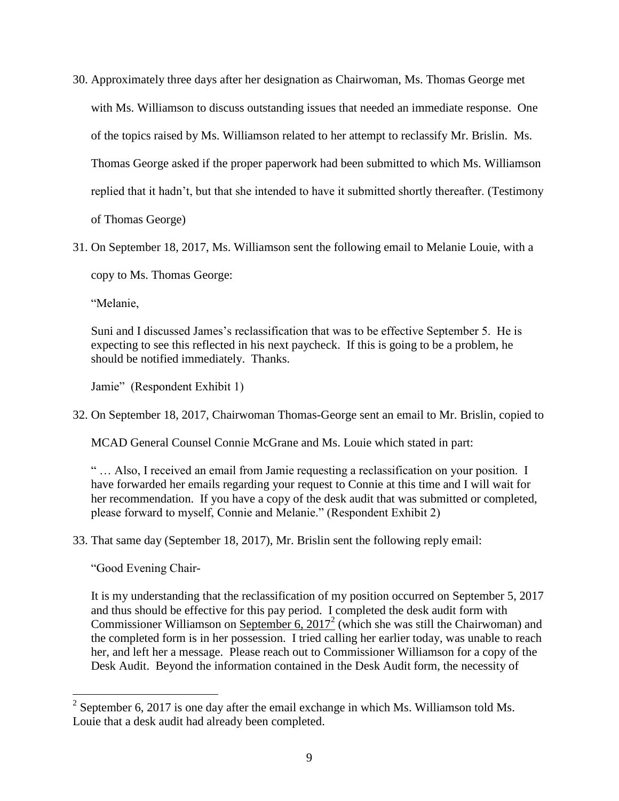- 30. Approximately three days after her designation as Chairwoman, Ms. Thomas George met with Ms. Williamson to discuss outstanding issues that needed an immediate response. One of the topics raised by Ms. Williamson related to her attempt to reclassify Mr. Brislin. Ms. Thomas George asked if the proper paperwork had been submitted to which Ms. Williamson replied that it hadn't, but that she intended to have it submitted shortly thereafter. (Testimony of Thomas George)
- 31. On September 18, 2017, Ms. Williamson sent the following email to Melanie Louie, with a

copy to Ms. Thomas George:

"Melanie,

Suni and I discussed James's reclassification that was to be effective September 5. He is expecting to see this reflected in his next paycheck. If this is going to be a problem, he should be notified immediately. Thanks.

Jamie" (Respondent Exhibit 1)

32. On September 18, 2017, Chairwoman Thomas-George sent an email to Mr. Brislin, copied to

MCAD General Counsel Connie McGrane and Ms. Louie which stated in part:

" … Also, I received an email from Jamie requesting a reclassification on your position. I have forwarded her emails regarding your request to Connie at this time and I will wait for her recommendation. If you have a copy of the desk audit that was submitted or completed, please forward to myself, Connie and Melanie." (Respondent Exhibit 2)

33. That same day (September 18, 2017), Mr. Brislin sent the following reply email:

"Good Evening Chair-

 $\overline{a}$ 

It is my understanding that the reclassification of my position occurred on September 5, 2017 and thus should be effective for this pay period. I completed the desk audit form with Commissioner Williamson on September 6,  $2017<sup>2</sup>$  (which she was still the Chairwoman) and the completed form is in her possession. I tried calling her earlier today, was unable to reach her, and left her a message. Please reach out to Commissioner Williamson for a copy of the Desk Audit. Beyond the information contained in the Desk Audit form, the necessity of

<sup>&</sup>lt;sup>2</sup> September 6, 2017 is one day after the email exchange in which Ms. Williamson told Ms. Louie that a desk audit had already been completed.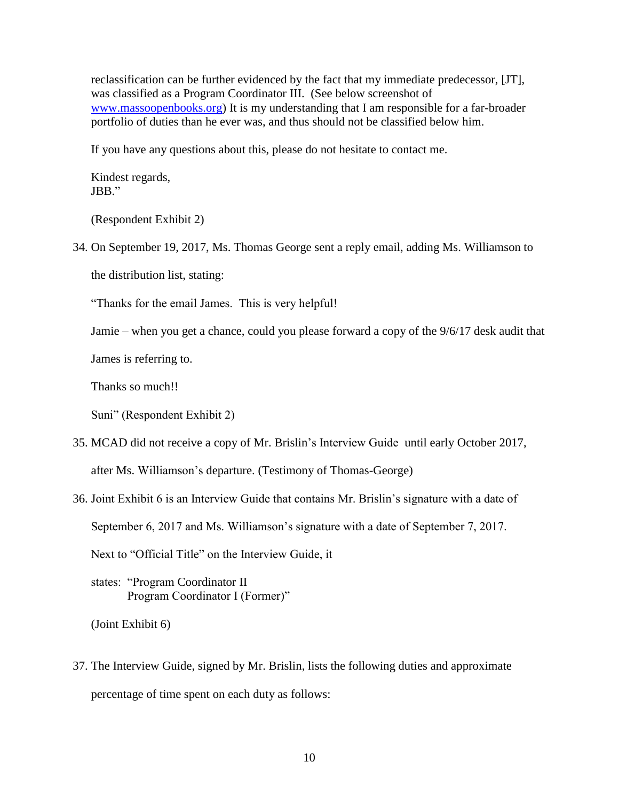reclassification can be further evidenced by the fact that my immediate predecessor, [JT], was classified as a Program Coordinator III. (See below screenshot of [www.massoopenbooks.org\)](http://www.massoopenbooks.org/) It is my understanding that I am responsible for a far-broader portfolio of duties than he ever was, and thus should not be classified below him.

If you have any questions about this, please do not hesitate to contact me.

Kindest regards, JBB."

(Respondent Exhibit 2)

34. On September 19, 2017, Ms. Thomas George sent a reply email, adding Ms. Williamson to

the distribution list, stating:

"Thanks for the email James. This is very helpful!

Jamie – when you get a chance, could you please forward a copy of the 9/6/17 desk audit that

James is referring to.

Thanks so much!!

Suni" (Respondent Exhibit 2)

- 35. MCAD did not receive a copy of Mr. Brislin's Interview Guide until early October 2017, after Ms. Williamson's departure. (Testimony of Thomas-George)
- 36. Joint Exhibit 6 is an Interview Guide that contains Mr. Brislin's signature with a date of September 6, 2017 and Ms. Williamson's signature with a date of September 7, 2017.

Next to "Official Title" on the Interview Guide, it

states: "Program Coordinator II Program Coordinator I (Former)"

(Joint Exhibit 6)

37. The Interview Guide, signed by Mr. Brislin, lists the following duties and approximate percentage of time spent on each duty as follows: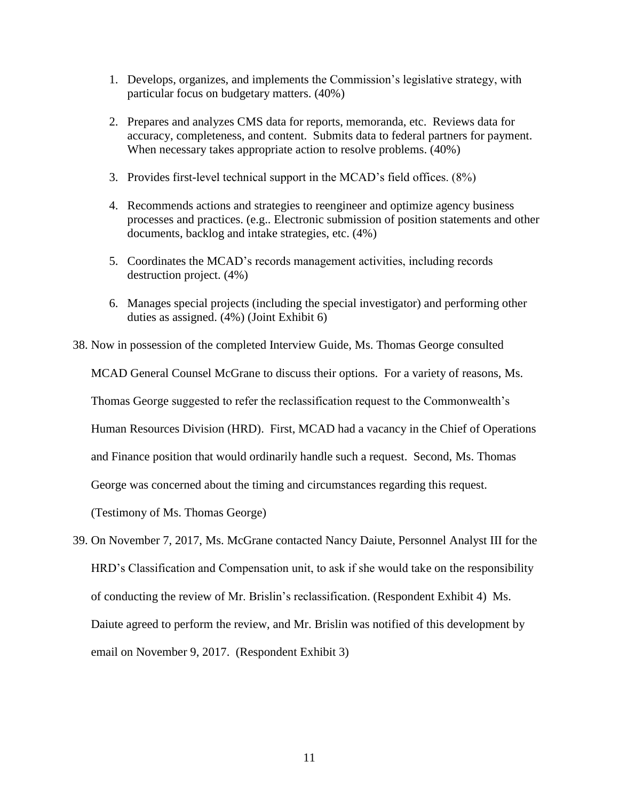- 1. Develops, organizes, and implements the Commission's legislative strategy, with particular focus on budgetary matters. (40%)
- 2. Prepares and analyzes CMS data for reports, memoranda, etc. Reviews data for accuracy, completeness, and content. Submits data to federal partners for payment. When necessary takes appropriate action to resolve problems. (40%)
- 3. Provides first-level technical support in the MCAD's field offices. (8%)
- 4. Recommends actions and strategies to reengineer and optimize agency business processes and practices. (e.g.. Electronic submission of position statements and other documents, backlog and intake strategies, etc. (4%)
- 5. Coordinates the MCAD's records management activities, including records destruction project. (4%)
- 6. Manages special projects (including the special investigator) and performing other duties as assigned. (4%) (Joint Exhibit 6)
- 38. Now in possession of the completed Interview Guide, Ms. Thomas George consulted

MCAD General Counsel McGrane to discuss their options. For a variety of reasons, Ms.

Thomas George suggested to refer the reclassification request to the Commonwealth's

Human Resources Division (HRD). First, MCAD had a vacancy in the Chief of Operations

and Finance position that would ordinarily handle such a request. Second, Ms. Thomas

George was concerned about the timing and circumstances regarding this request.

(Testimony of Ms. Thomas George)

39. On November 7, 2017, Ms. McGrane contacted Nancy Daiute, Personnel Analyst III for the HRD's Classification and Compensation unit, to ask if she would take on the responsibility of conducting the review of Mr. Brislin's reclassification. (Respondent Exhibit 4) Ms. Daiute agreed to perform the review, and Mr. Brislin was notified of this development by email on November 9, 2017. (Respondent Exhibit 3)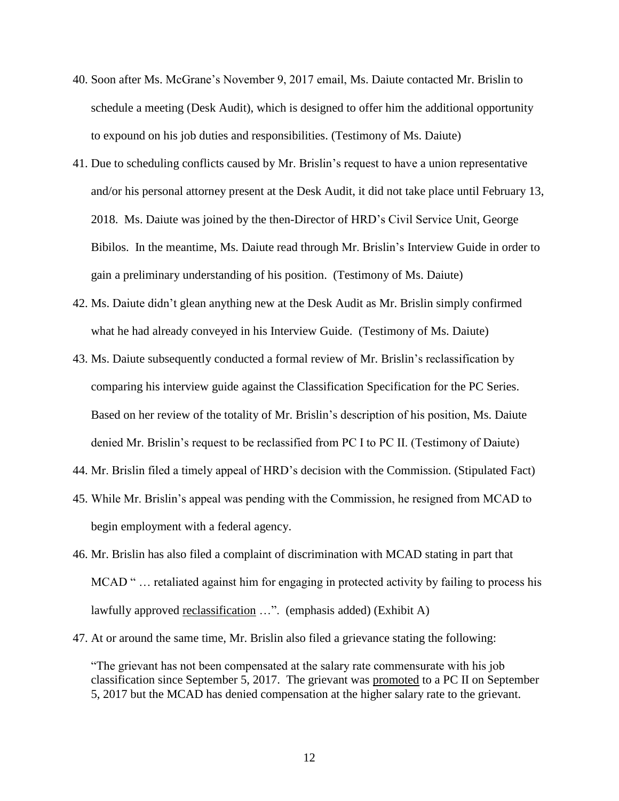- 40. Soon after Ms. McGrane's November 9, 2017 email, Ms. Daiute contacted Mr. Brislin to schedule a meeting (Desk Audit), which is designed to offer him the additional opportunity to expound on his job duties and responsibilities. (Testimony of Ms. Daiute)
- 41. Due to scheduling conflicts caused by Mr. Brislin's request to have a union representative and/or his personal attorney present at the Desk Audit, it did not take place until February 13, 2018. Ms. Daiute was joined by the then-Director of HRD's Civil Service Unit, George Bibilos. In the meantime, Ms. Daiute read through Mr. Brislin's Interview Guide in order to gain a preliminary understanding of his position. (Testimony of Ms. Daiute)
- 42. Ms. Daiute didn't glean anything new at the Desk Audit as Mr. Brislin simply confirmed what he had already conveyed in his Interview Guide. (Testimony of Ms. Daiute)
- 43. Ms. Daiute subsequently conducted a formal review of Mr. Brislin's reclassification by comparing his interview guide against the Classification Specification for the PC Series. Based on her review of the totality of Mr. Brislin's description of his position, Ms. Daiute denied Mr. Brislin's request to be reclassified from PC I to PC II. (Testimony of Daiute)
- 44. Mr. Brislin filed a timely appeal of HRD's decision with the Commission. (Stipulated Fact)
- 45. While Mr. Brislin's appeal was pending with the Commission, he resigned from MCAD to begin employment with a federal agency.
- 46. Mr. Brislin has also filed a complaint of discrimination with MCAD stating in part that MCAD "... retaliated against him for engaging in protected activity by failing to process his lawfully approved <u>reclassification</u> ...". (emphasis added) (Exhibit A)
- 47. At or around the same time, Mr. Brislin also filed a grievance stating the following:

"The grievant has not been compensated at the salary rate commensurate with his job classification since September 5, 2017. The grievant was promoted to a PC II on September 5, 2017 but the MCAD has denied compensation at the higher salary rate to the grievant.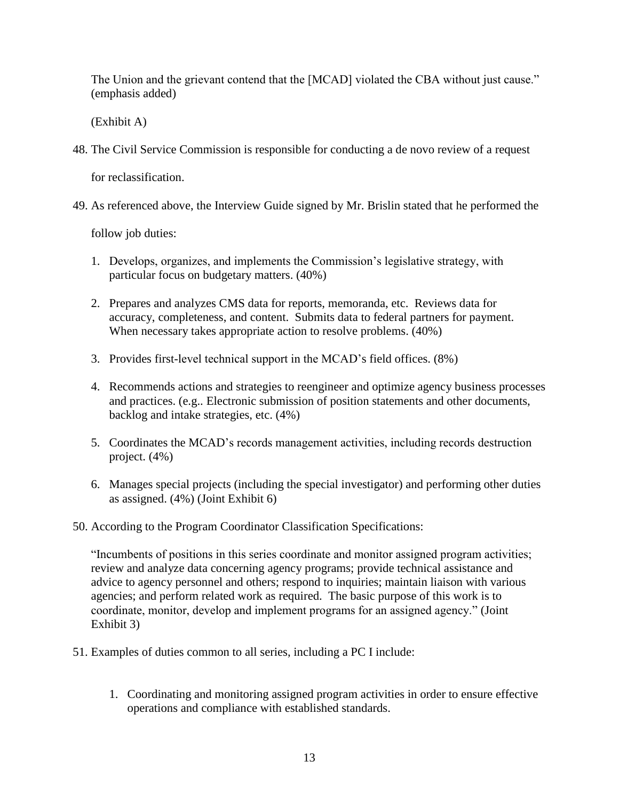The Union and the grievant contend that the [MCAD] violated the CBA without just cause." (emphasis added)

(Exhibit A)

48. The Civil Service Commission is responsible for conducting a de novo review of a request

for reclassification.

49. As referenced above, the Interview Guide signed by Mr. Brislin stated that he performed the

follow job duties:

- 1. Develops, organizes, and implements the Commission's legislative strategy, with particular focus on budgetary matters. (40%)
- 2. Prepares and analyzes CMS data for reports, memoranda, etc. Reviews data for accuracy, completeness, and content. Submits data to federal partners for payment. When necessary takes appropriate action to resolve problems. (40%)
- 3. Provides first-level technical support in the MCAD's field offices. (8%)
- 4. Recommends actions and strategies to reengineer and optimize agency business processes and practices. (e.g.. Electronic submission of position statements and other documents, backlog and intake strategies, etc. (4%)
- 5. Coordinates the MCAD's records management activities, including records destruction project. (4%)
- 6. Manages special projects (including the special investigator) and performing other duties as assigned. (4%) (Joint Exhibit 6)
- 50. According to the Program Coordinator Classification Specifications:

"Incumbents of positions in this series coordinate and monitor assigned program activities; review and analyze data concerning agency programs; provide technical assistance and advice to agency personnel and others; respond to inquiries; maintain liaison with various agencies; and perform related work as required. The basic purpose of this work is to coordinate, monitor, develop and implement programs for an assigned agency." (Joint Exhibit 3)

- 51. Examples of duties common to all series, including a PC I include:
	- 1. Coordinating and monitoring assigned program activities in order to ensure effective operations and compliance with established standards.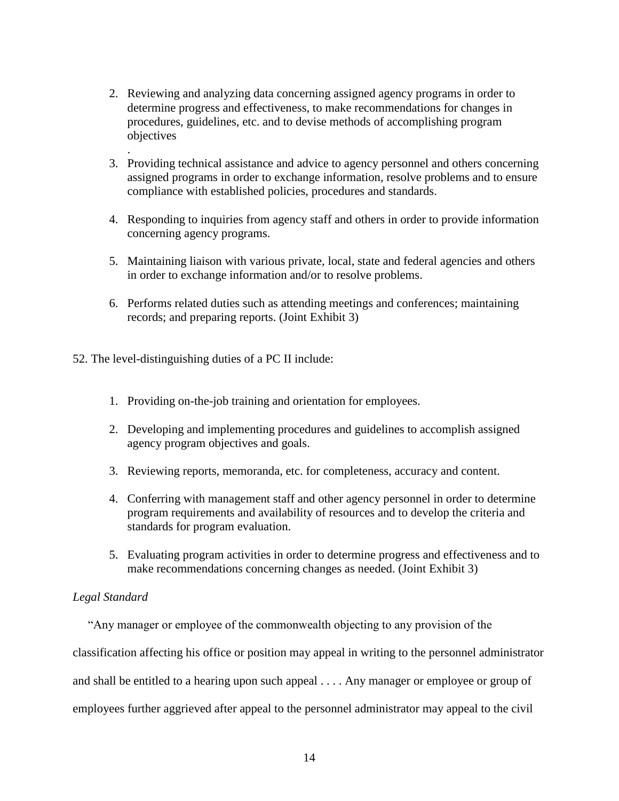- 2. Reviewing and analyzing data concerning assigned agency programs in order to determine progress and effectiveness, to make recommendations for changes in procedures, guidelines, etc. and to devise methods of accomplishing program objectives
- 3. Providing technical assistance and advice to agency personnel and others concerning assigned programs in order to exchange information, resolve problems and to ensure compliance with established policies, procedures and standards.
- 4. Responding to inquiries from agency staff and others in order to provide information concerning agency programs.
- 5. Maintaining liaison with various private, local, state and federal agencies and others in order to exchange information and/or to resolve problems.
- 6. Performs related duties such as attending meetings and conferences; maintaining records; and preparing reports. (Joint Exhibit 3)

52. The level-distinguishing duties of a PC II include:

- 1. Providing on-the-job training and orientation for employees.
- 2. Developing and implementing procedures and guidelines to accomplish assigned agency program objectives and goals.
- 3. Reviewing reports, memoranda, etc. for completeness, accuracy and content.
- 4. Conferring with management staff and other agency personnel in order to determine program requirements and availability of resources and to develop the criteria and standards for program evaluation.
- 5. Evaluating program activities in order to determine progress and effectiveness and to make recommendations concerning changes as needed. (Joint Exhibit 3)

### *Legal Standard*

.

"Any manager or employee of the commonwealth objecting to any provision of the

classification affecting his office or position may appeal in writing to the personnel administrator

and shall be entitled to a hearing upon such appeal . . . . Any manager or employee or group of

employees further aggrieved after appeal to the personnel administrator may appeal to the civil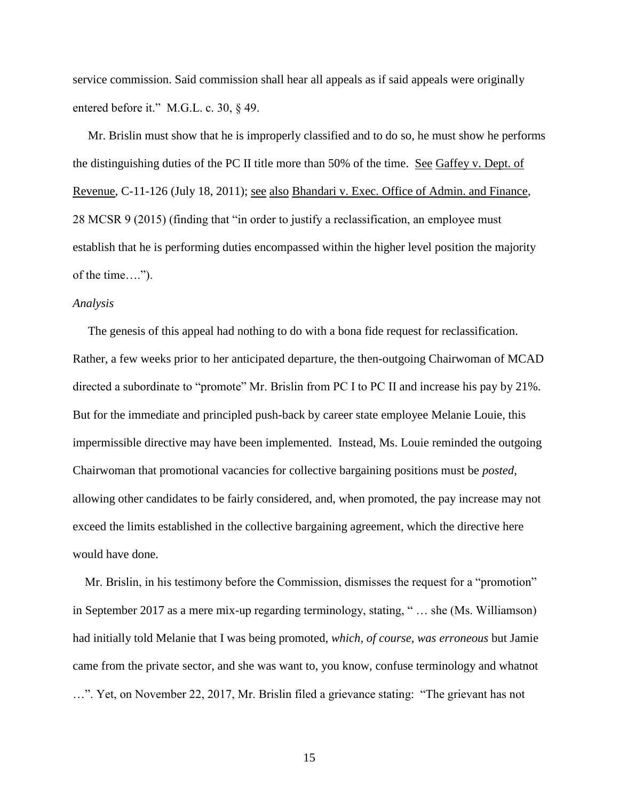service commission. Said commission shall hear all appeals as if said appeals were originally entered before it." M.G.L. c. 30, § 49.

 Mr. Brislin must show that he is improperly classified and to do so, he must show he performs the distinguishing duties of the PC II title more than 50% of the time. See Gaffey v. Dept. of Revenue, C-11-126 (July 18, 2011); see also Bhandari v. Exec. Office of Admin. and Finance, 28 MCSR 9 (2015) (finding that "in order to justify a reclassification, an employee must establish that he is performing duties encompassed within the higher level position the majority of the time….").

### *Analysis*

 The genesis of this appeal had nothing to do with a bona fide request for reclassification. Rather, a few weeks prior to her anticipated departure, the then-outgoing Chairwoman of MCAD directed a subordinate to "promote" Mr. Brislin from PC I to PC II and increase his pay by 21%. But for the immediate and principled push-back by career state employee Melanie Louie, this impermissible directive may have been implemented. Instead, Ms. Louie reminded the outgoing Chairwoman that promotional vacancies for collective bargaining positions must be *posted*, allowing other candidates to be fairly considered, and, when promoted, the pay increase may not exceed the limits established in the collective bargaining agreement, which the directive here would have done.

 Mr. Brislin, in his testimony before the Commission, dismisses the request for a "promotion" in September 2017 as a mere mix-up regarding terminology, stating, " … she (Ms. Williamson) had initially told Melanie that I was being promoted, *which, of course, was erroneous* but Jamie came from the private sector, and she was want to, you know, confuse terminology and whatnot …". Yet, on November 22, 2017, Mr. Brislin filed a grievance stating: "The grievant has not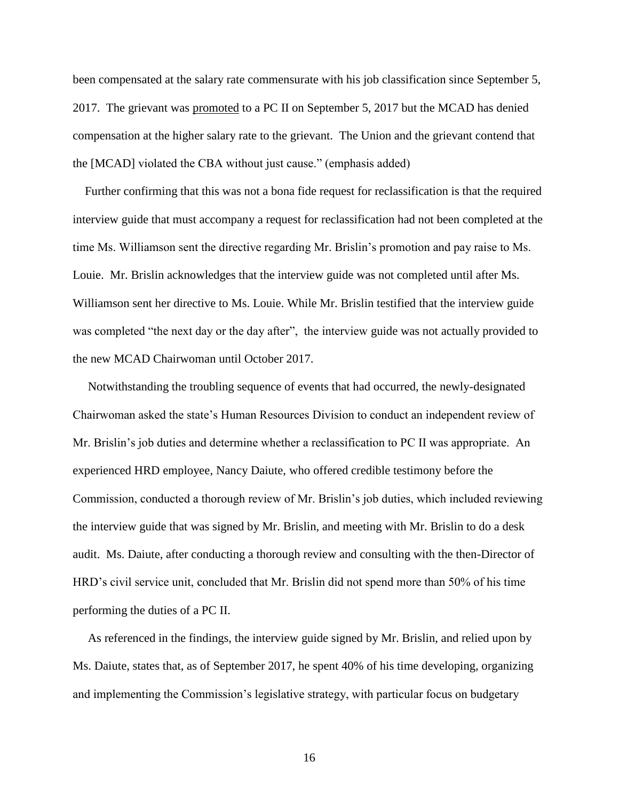been compensated at the salary rate commensurate with his job classification since September 5, 2017. The grievant was promoted to a PC II on September 5, 2017 but the MCAD has denied compensation at the higher salary rate to the grievant. The Union and the grievant contend that the [MCAD] violated the CBA without just cause." (emphasis added)

 Further confirming that this was not a bona fide request for reclassification is that the required interview guide that must accompany a request for reclassification had not been completed at the time Ms. Williamson sent the directive regarding Mr. Brislin's promotion and pay raise to Ms. Louie. Mr. Brislin acknowledges that the interview guide was not completed until after Ms. Williamson sent her directive to Ms. Louie. While Mr. Brislin testified that the interview guide was completed "the next day or the day after", the interview guide was not actually provided to the new MCAD Chairwoman until October 2017.

 Notwithstanding the troubling sequence of events that had occurred, the newly-designated Chairwoman asked the state's Human Resources Division to conduct an independent review of Mr. Brislin's job duties and determine whether a reclassification to PC II was appropriate. An experienced HRD employee, Nancy Daiute, who offered credible testimony before the Commission, conducted a thorough review of Mr. Brislin's job duties, which included reviewing the interview guide that was signed by Mr. Brislin, and meeting with Mr. Brislin to do a desk audit. Ms. Daiute, after conducting a thorough review and consulting with the then-Director of HRD's civil service unit, concluded that Mr. Brislin did not spend more than 50% of his time performing the duties of a PC II.

 As referenced in the findings, the interview guide signed by Mr. Brislin, and relied upon by Ms. Daiute, states that, as of September 2017, he spent 40% of his time developing, organizing and implementing the Commission's legislative strategy, with particular focus on budgetary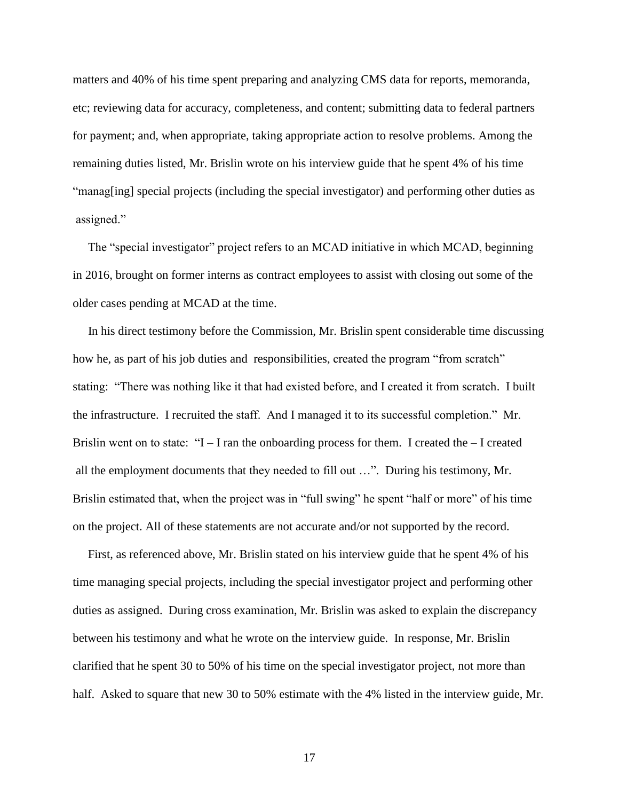matters and 40% of his time spent preparing and analyzing CMS data for reports, memoranda, etc; reviewing data for accuracy, completeness, and content; submitting data to federal partners for payment; and, when appropriate, taking appropriate action to resolve problems. Among the remaining duties listed, Mr. Brislin wrote on his interview guide that he spent 4% of his time "manag[ing] special projects (including the special investigator) and performing other duties as assigned."

 The "special investigator" project refers to an MCAD initiative in which MCAD, beginning in 2016, brought on former interns as contract employees to assist with closing out some of the older cases pending at MCAD at the time.

 In his direct testimony before the Commission, Mr. Brislin spent considerable time discussing how he, as part of his job duties and responsibilities, created the program "from scratch" stating: "There was nothing like it that had existed before, and I created it from scratch. I built the infrastructure. I recruited the staff. And I managed it to its successful completion." Mr. Brislin went on to state: " $I - I$  ran the onboarding process for them. I created the  $-I$  created all the employment documents that they needed to fill out …". During his testimony, Mr. Brislin estimated that, when the project was in "full swing" he spent "half or more" of his time on the project. All of these statements are not accurate and/or not supported by the record.

 First, as referenced above, Mr. Brislin stated on his interview guide that he spent 4% of his time managing special projects, including the special investigator project and performing other duties as assigned. During cross examination, Mr. Brislin was asked to explain the discrepancy between his testimony and what he wrote on the interview guide. In response, Mr. Brislin clarified that he spent 30 to 50% of his time on the special investigator project, not more than half. Asked to square that new 30 to 50% estimate with the 4% listed in the interview guide, Mr.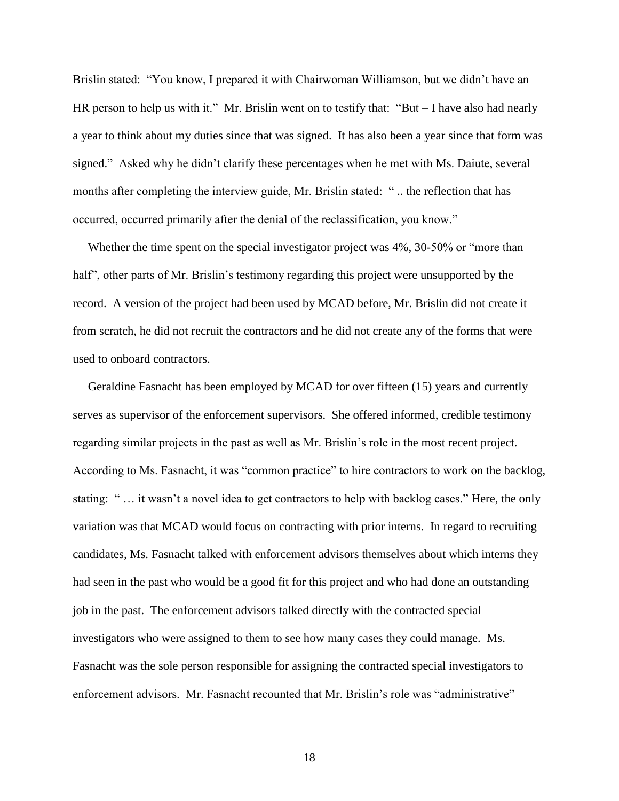Brislin stated: "You know, I prepared it with Chairwoman Williamson, but we didn't have an HR person to help us with it." Mr. Brislin went on to testify that: "But – I have also had nearly a year to think about my duties since that was signed. It has also been a year since that form was signed." Asked why he didn't clarify these percentages when he met with Ms. Daiute, several months after completing the interview guide, Mr. Brislin stated: " .. the reflection that has occurred, occurred primarily after the denial of the reclassification, you know."

Whether the time spent on the special investigator project was 4%, 30-50% or "more than half", other parts of Mr. Brislin's testimony regarding this project were unsupported by the record. A version of the project had been used by MCAD before, Mr. Brislin did not create it from scratch, he did not recruit the contractors and he did not create any of the forms that were used to onboard contractors.

 Geraldine Fasnacht has been employed by MCAD for over fifteen (15) years and currently serves as supervisor of the enforcement supervisors. She offered informed, credible testimony regarding similar projects in the past as well as Mr. Brislin's role in the most recent project. According to Ms. Fasnacht, it was "common practice" to hire contractors to work on the backlog, stating: " … it wasn't a novel idea to get contractors to help with backlog cases." Here, the only variation was that MCAD would focus on contracting with prior interns. In regard to recruiting candidates, Ms. Fasnacht talked with enforcement advisors themselves about which interns they had seen in the past who would be a good fit for this project and who had done an outstanding job in the past. The enforcement advisors talked directly with the contracted special investigators who were assigned to them to see how many cases they could manage. Ms. Fasnacht was the sole person responsible for assigning the contracted special investigators to enforcement advisors. Mr. Fasnacht recounted that Mr. Brislin's role was "administrative"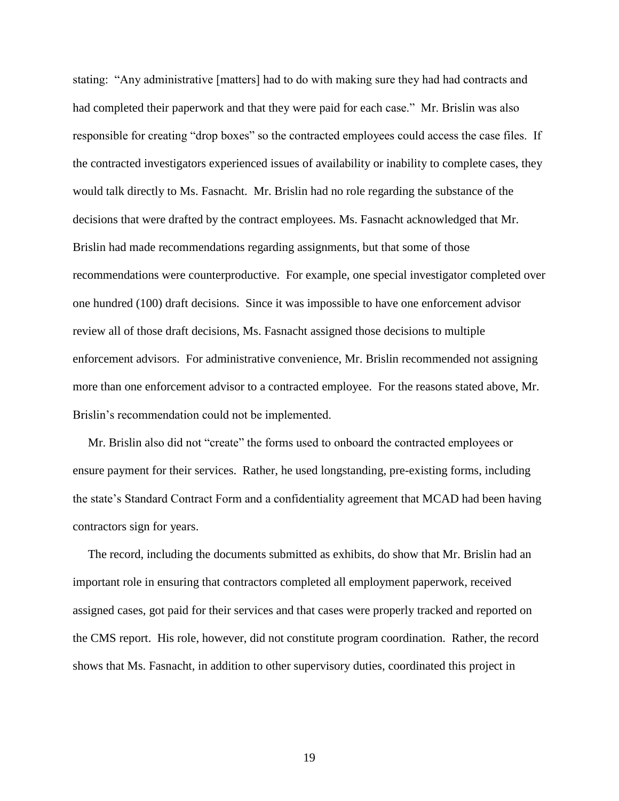stating: "Any administrative [matters] had to do with making sure they had had contracts and had completed their paperwork and that they were paid for each case." Mr. Brislin was also responsible for creating "drop boxes" so the contracted employees could access the case files. If the contracted investigators experienced issues of availability or inability to complete cases, they would talk directly to Ms. Fasnacht. Mr. Brislin had no role regarding the substance of the decisions that were drafted by the contract employees. Ms. Fasnacht acknowledged that Mr. Brislin had made recommendations regarding assignments, but that some of those recommendations were counterproductive. For example, one special investigator completed over one hundred (100) draft decisions. Since it was impossible to have one enforcement advisor review all of those draft decisions, Ms. Fasnacht assigned those decisions to multiple enforcement advisors. For administrative convenience, Mr. Brislin recommended not assigning more than one enforcement advisor to a contracted employee. For the reasons stated above, Mr. Brislin's recommendation could not be implemented.

 Mr. Brislin also did not "create" the forms used to onboard the contracted employees or ensure payment for their services. Rather, he used longstanding, pre-existing forms, including the state's Standard Contract Form and a confidentiality agreement that MCAD had been having contractors sign for years.

 The record, including the documents submitted as exhibits, do show that Mr. Brislin had an important role in ensuring that contractors completed all employment paperwork, received assigned cases, got paid for their services and that cases were properly tracked and reported on the CMS report. His role, however, did not constitute program coordination. Rather, the record shows that Ms. Fasnacht, in addition to other supervisory duties, coordinated this project in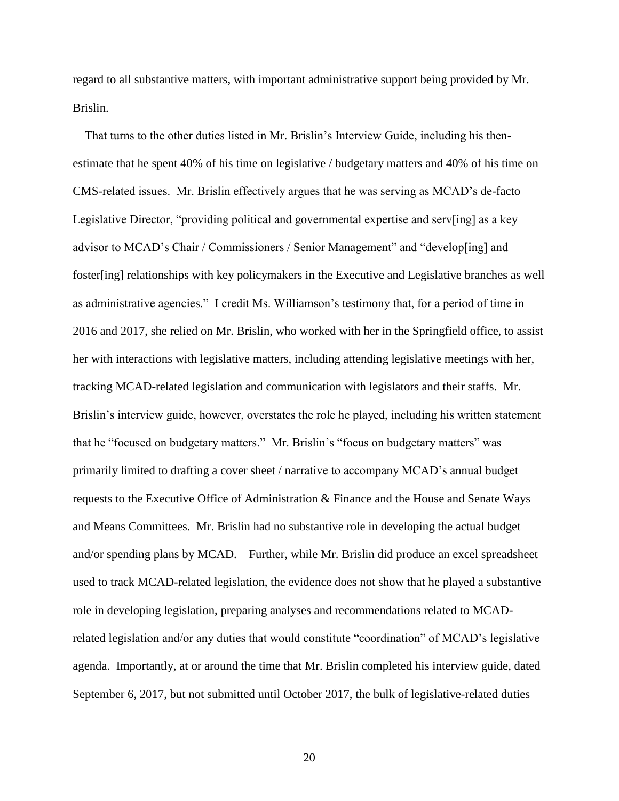regard to all substantive matters, with important administrative support being provided by Mr. Brislin.

 That turns to the other duties listed in Mr. Brislin's Interview Guide, including his thenestimate that he spent 40% of his time on legislative / budgetary matters and 40% of his time on CMS-related issues. Mr. Brislin effectively argues that he was serving as MCAD's de-facto Legislative Director, "providing political and governmental expertise and serv[ing] as a key advisor to MCAD's Chair / Commissioners / Senior Management" and "develop[ing] and foster[ing] relationships with key policymakers in the Executive and Legislative branches as well as administrative agencies." I credit Ms. Williamson's testimony that, for a period of time in 2016 and 2017, she relied on Mr. Brislin, who worked with her in the Springfield office, to assist her with interactions with legislative matters, including attending legislative meetings with her, tracking MCAD-related legislation and communication with legislators and their staffs. Mr. Brislin's interview guide, however, overstates the role he played, including his written statement that he "focused on budgetary matters." Mr. Brislin's "focus on budgetary matters" was primarily limited to drafting a cover sheet / narrative to accompany MCAD's annual budget requests to the Executive Office of Administration & Finance and the House and Senate Ways and Means Committees. Mr. Brislin had no substantive role in developing the actual budget and/or spending plans by MCAD. Further, while Mr. Brislin did produce an excel spreadsheet used to track MCAD-related legislation, the evidence does not show that he played a substantive role in developing legislation, preparing analyses and recommendations related to MCADrelated legislation and/or any duties that would constitute "coordination" of MCAD's legislative agenda. Importantly, at or around the time that Mr. Brislin completed his interview guide, dated September 6, 2017, but not submitted until October 2017, the bulk of legislative-related duties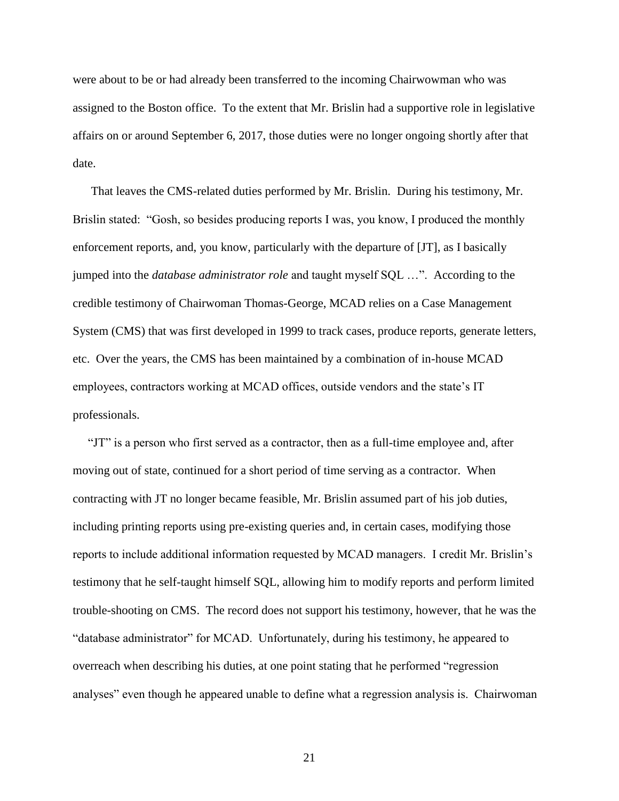were about to be or had already been transferred to the incoming Chairwowman who was assigned to the Boston office. To the extent that Mr. Brislin had a supportive role in legislative affairs on or around September 6, 2017, those duties were no longer ongoing shortly after that date.

 That leaves the CMS-related duties performed by Mr. Brislin. During his testimony, Mr. Brislin stated: "Gosh, so besides producing reports I was, you know, I produced the monthly enforcement reports, and, you know, particularly with the departure of [JT], as I basically jumped into the *database administrator role* and taught myself SQL …". According to the credible testimony of Chairwoman Thomas-George, MCAD relies on a Case Management System (CMS) that was first developed in 1999 to track cases, produce reports, generate letters, etc. Over the years, the CMS has been maintained by a combination of in-house MCAD employees, contractors working at MCAD offices, outside vendors and the state's IT professionals.

 "JT" is a person who first served as a contractor, then as a full-time employee and, after moving out of state, continued for a short period of time serving as a contractor. When contracting with JT no longer became feasible, Mr. Brislin assumed part of his job duties, including printing reports using pre-existing queries and, in certain cases, modifying those reports to include additional information requested by MCAD managers. I credit Mr. Brislin's testimony that he self-taught himself SQL, allowing him to modify reports and perform limited trouble-shooting on CMS. The record does not support his testimony, however, that he was the "database administrator" for MCAD. Unfortunately, during his testimony, he appeared to overreach when describing his duties, at one point stating that he performed "regression analyses" even though he appeared unable to define what a regression analysis is. Chairwoman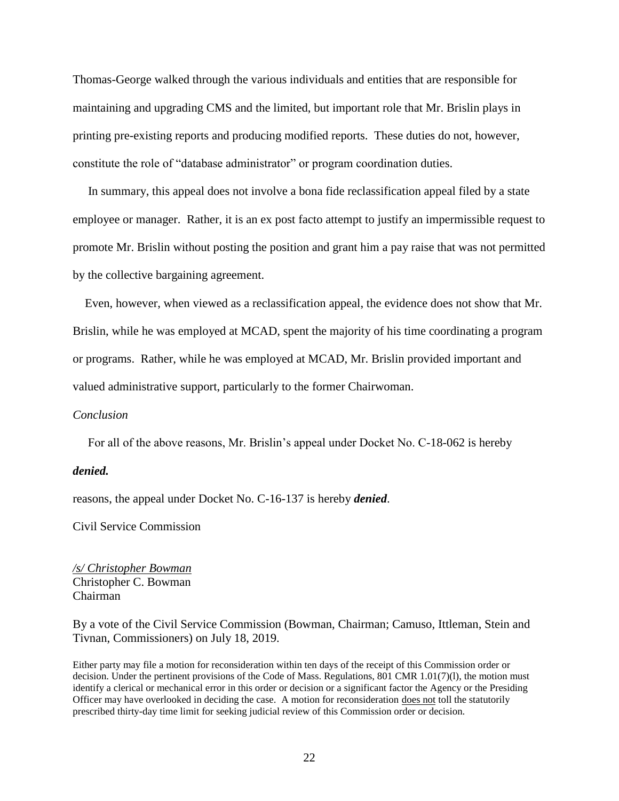Thomas-George walked through the various individuals and entities that are responsible for maintaining and upgrading CMS and the limited, but important role that Mr. Brislin plays in printing pre-existing reports and producing modified reports. These duties do not, however, constitute the role of "database administrator" or program coordination duties.

 In summary, this appeal does not involve a bona fide reclassification appeal filed by a state employee or manager. Rather, it is an ex post facto attempt to justify an impermissible request to promote Mr. Brislin without posting the position and grant him a pay raise that was not permitted by the collective bargaining agreement.

 Even, however, when viewed as a reclassification appeal, the evidence does not show that Mr. Brislin, while he was employed at MCAD, spent the majority of his time coordinating a program or programs. Rather, while he was employed at MCAD, Mr. Brislin provided important and valued administrative support, particularly to the former Chairwoman.

### *Conclusion*

For all of the above reasons, Mr. Brislin's appeal under Docket No. C-18-062 is hereby

#### *denied.*

reasons, the appeal under Docket No. C-16-137 is hereby *denied*.

Civil Service Commission

*/s/ Christopher Bowman* Christopher C. Bowman Chairman

By a vote of the Civil Service Commission (Bowman, Chairman; Camuso, Ittleman, Stein and Tivnan, Commissioners) on July 18, 2019.

Either party may file a motion for reconsideration within ten days of the receipt of this Commission order or decision. Under the pertinent provisions of the Code of Mass. Regulations, 801 CMR 1.01(7)(l), the motion must identify a clerical or mechanical error in this order or decision or a significant factor the Agency or the Presiding Officer may have overlooked in deciding the case. A motion for reconsideration does not toll the statutorily prescribed thirty-day time limit for seeking judicial review of this Commission order or decision.